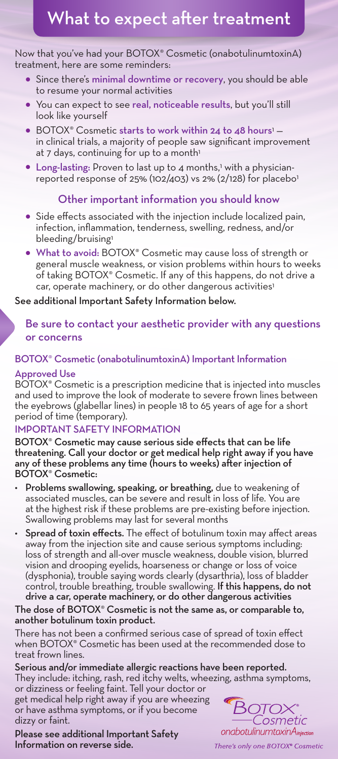# What to expect after treatment

#### Now that you've had your BOTOX® Cosmetic (onabotulinumtoxinA) treatment, here are some reminders:

- Since there's minimal downtime or recovery, you should be able to resume your normal activities
- You can expect to see real, noticeable results, but you'll still look like yourself
- BOTOX® Cosmetic starts to work within 24 to 48 hours<sup>1</sup> in clinical trials, a majority of people saw significant improvement at 7 days, continuing for up to a month<sup>1</sup>
- Long-lasting: Proven to last up to 4 months,<sup>1</sup> with a physicianreported response of 25% (102/403) vs 2% (2/128) for placebo<sup>1</sup>

# Other important information you should know

- Side effects associated with the injection include localized pain, infection, inflammation, tenderness, swelling, redness, and/or bleeding/bruising<sup>1</sup>
- What to avoid: BOTOX® Cosmetic may cause loss of strength or general muscle weakness, or vision problems within hours to weeks of taking BOTOX® Cosmetic. If any of this happens, do not drive a car, operate machinery, or do other dangerous activities<sup>1</sup>

## See additional Important Safety Information below.

# Be sure to contact your aesthetic provider with any questions or concerns

# BOTOX® Cosmetic (onabotulinumtoxinA) Important Information

### Approved Use

BOTOX® Cosmetic is a prescription medicine that is injected into muscles and used to improve the look of moderate to severe frown lines between the eyebrows (glabellar lines) in people 18 to 65 years of age for a short period of time (temporary).

## IMPORTANT SAFETY INFORMATION

BOTOX® Cosmetic may cause serious side effects that can be life threatening. Call your doctor or get medical help right away if you have any of these problems any time (hours to weeks) after injection of BOTOX® Cosmetic:

- Problems swallowing, speaking, or breathing, due to weakening of associated muscles, can be severe and result in loss of life. You are at the highest risk if these problems are pre-existing before injection. Swallowing problems may last for several months
- Spread of toxin effects. The effect of botulinum toxin may affect areas away from the injection site and cause serious symptoms including: loss of strength and all-over muscle weakness, double vision, blurred vision and drooping eyelids, hoarseness or change or loss of voice (dysphonia), trouble saying words clearly (dysarthria), loss of bladder control, trouble breathing, trouble swallowing. If this happens, do not drive a car, operate machinery, or do other dangerous activities

#### The dose of BOTOX® Cosmetic is not the same as, or comparable to, another botulinum toxin product.

There has not been a confirmed serious case of spread of toxin effect when BOTOX® Cosmetic has been used at the recommended dose to treat frown lines.

Serious and/or immediate allergic reactions have been reported. They include: itching, rash, red itchy welts, wheezing, asthma symptoms, or dizziness or feeling faint. Tell your doctor or

get medical help right away if you are wheezing or have asthma symptoms, or if you become dizzy or faint.

Please see additional Important Safety Information on reverse side.



There's only one BOTOX® Cosmetic